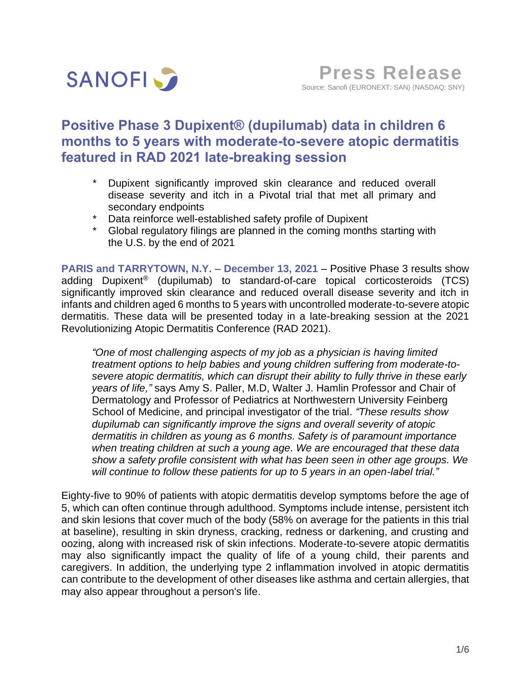

# **Positive Phase 3 Dupixent® (dupilumab) data in children 6 months to 5 years with moderate-to-severe atopic dermatitis featured in RAD 2021 late-breaking session**

- Dupixent significantly improved skin clearance and reduced overall disease severity and itch in a Pivotal trial that met all primary and secondary endpoints
- \* Data reinforce well-established safety profile of Dupixent
- \* Global regulatory filings are planned in the coming months starting with the U.S. by the end of 2021

**PARIS and TARRYTOWN, N.Y. – December 13, 2021** – Positive Phase 3 results show adding Dupixent® (dupilumab) to standard-of-care topical corticosteroids (TCS) significantly improved skin clearance and reduced overall disease severity and itch in infants and children aged 6 months to 5 years with uncontrolled moderate-to-severe atopic dermatitis. These data will be presented today in a late-breaking session at the 2021 Revolutionizing Atopic Dermatitis Conference (RAD 2021).

*"One of most challenging aspects of my job as a physician is having limited treatment options to help babies and young children suffering from moderate-tosevere atopic dermatitis, which can disrupt their ability to fully thrive in these early years of life,"* says Amy S. Paller, M.D, Walter J. Hamlin Professor and Chair of Dermatology and Professor of Pediatrics at Northwestern University Feinberg School of Medicine, and principal investigator of the trial. *"These results show dupilumab can significantly improve the signs and overall severity of atopic dermatitis in children as young as 6 months. Safety is of paramount importance when treating children at such a young age. We are encouraged that these data show a safety profile consistent with what has been seen in other age groups. We will continue to follow these patients for up to 5 years in an open-label trial."*

Eighty-five to 90% of patients with atopic dermatitis develop symptoms before the age of 5, which can often continue through adulthood. Symptoms include intense, persistent itch and skin lesions that cover much of the body (58% on average for the patients in this trial at baseline), resulting in skin dryness, cracking, redness or darkening, and crusting and oozing, along with increased risk of skin infections. Moderate-to-severe atopic dermatitis may also significantly impact the quality of life of a young child, their parents and caregivers. In addition, the underlying type 2 inflammation involved in atopic dermatitis can contribute to the development of other diseases like asthma and certain allergies, that may also appear throughout a person's life.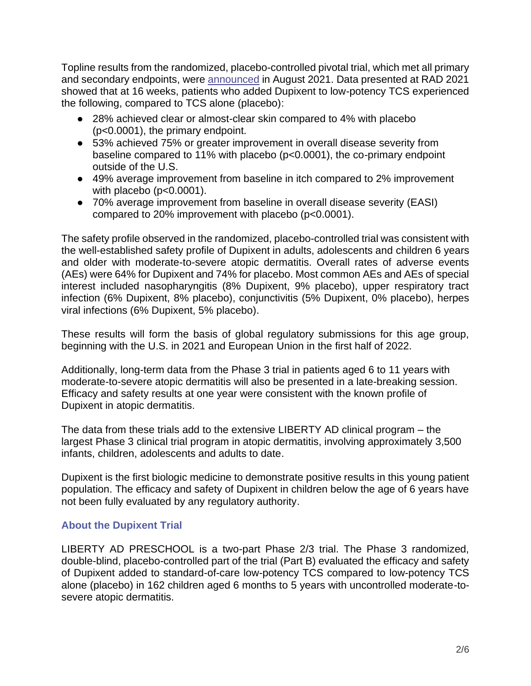Topline results from the randomized, placebo-controlled pivotal trial, which met all primary and secondary endpoints, were [announced](https://www.sanofi.com/en/media-room/press-releases/2021/2021-08-30-07-00-00-2288011) in August 2021. Data presented at RAD 2021 showed that at 16 weeks, patients who added Dupixent to low-potency TCS experienced the following, compared to TCS alone (placebo):

- 28% achieved clear or almost-clear skin compared to 4% with placebo (p<0.0001), the primary endpoint.
- 53% achieved 75% or greater improvement in overall disease severity from baseline compared to 11% with placebo (p<0.0001), the co-primary endpoint outside of the U.S.
- 49% average improvement from baseline in itch compared to 2% improvement with placebo (p<0.0001).
- 70% average improvement from baseline in overall disease severity (EASI) compared to 20% improvement with placebo (p<0.0001).

The safety profile observed in the randomized, placebo-controlled trial was consistent with the well-established safety profile of Dupixent in adults, adolescents and children 6 years and older with moderate-to-severe atopic dermatitis. Overall rates of adverse events (AEs) were 64% for Dupixent and 74% for placebo. Most common AEs and AEs of special interest included nasopharyngitis (8% Dupixent, 9% placebo), upper respiratory tract infection (6% Dupixent, 8% placebo), conjunctivitis (5% Dupixent, 0% placebo), herpes viral infections (6% Dupixent, 5% placebo).

These results will form the basis of global regulatory submissions for this age group, beginning with the U.S. in 2021 and European Union in the first half of 2022.

Additionally, long-term data from the Phase 3 trial in patients aged 6 to 11 years with moderate-to-severe atopic dermatitis will also be presented in a late-breaking session. Efficacy and safety results at one year were consistent with the known profile of Dupixent in atopic dermatitis.

The data from these trials add to the extensive LIBERTY AD clinical program – the largest Phase 3 clinical trial program in atopic dermatitis, involving approximately 3,500 infants, children, adolescents and adults to date.

Dupixent is the first biologic medicine to demonstrate positive results in this young patient population. The efficacy and safety of Dupixent in children below the age of 6 years have not been fully evaluated by any regulatory authority.

# **About the Dupixent Trial**

LIBERTY AD PRESCHOOL is a two-part Phase 2/3 trial. The Phase 3 randomized, double-blind, placebo-controlled part of the trial (Part B) evaluated the efficacy and safety of Dupixent added to standard-of-care low-potency TCS compared to low-potency TCS alone (placebo) in 162 children aged 6 months to 5 years with uncontrolled moderate-tosevere atopic dermatitis.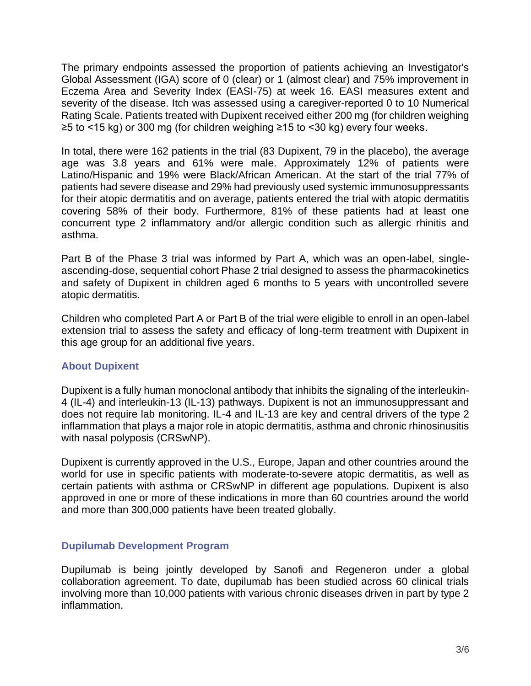The primary endpoints assessed the proportion of patients achieving an Investigator's Global Assessment (IGA) score of 0 (clear) or 1 (almost clear) and 75% improvement in Eczema Area and Severity Index (EASI-75) at week 16. EASI measures extent and severity of the disease. Itch was assessed using a caregiver-reported 0 to 10 Numerical Rating Scale. Patients treated with Dupixent received either 200 mg (for children weighing ≥5 to <15 kg) or 300 mg (for children weighing ≥15 to <30 kg) every four weeks.

In total, there were 162 patients in the trial (83 Dupixent, 79 in the placebo), the average age was 3.8 years and 61% were male. Approximately 12% of patients were Latino/Hispanic and 19% were Black/African American. At the start of the trial 77% of patients had severe disease and 29% had previously used systemic immunosuppressants for their atopic dermatitis and on average, patients entered the trial with atopic dermatitis covering 58% of their body. Furthermore, 81% of these patients had at least one concurrent type 2 inflammatory and/or allergic condition such as allergic rhinitis and asthma.

Part B of the Phase 3 trial was informed by Part A, which was an open-label, singleascending-dose, sequential cohort Phase 2 trial designed to assess the pharmacokinetics and safety of Dupixent in children aged 6 months to 5 years with uncontrolled severe atopic dermatitis.

Children who completed Part A or Part B of the trial were eligible to enroll in an open-label extension trial to assess the safety and efficacy of long-term treatment with Dupixent in this age group for an additional five years.

# **About Dupixent**

Dupixent is a fully human monoclonal antibody that inhibits the signaling of the interleukin-4 (IL-4) and interleukin-13 (IL-13) pathways. Dupixent is not an immunosuppressant and does not require lab monitoring. IL-4 and IL-13 are key and central drivers of the type 2 inflammation that plays a major role in atopic dermatitis, asthma and chronic rhinosinusitis with nasal polyposis (CRSwNP).

Dupixent is currently approved in the U.S., Europe, Japan and other countries around the world for use in specific patients with moderate-to-severe atopic dermatitis, as well as certain patients with asthma or CRSwNP in different age populations. Dupixent is also approved in one or more of these indications in more than 60 countries around the world and more than 300,000 patients have been treated globally.

# **Dupilumab Development Program**

Dupilumab is being jointly developed by Sanofi and Regeneron under a global collaboration agreement. To date, dupilumab has been studied across 60 clinical trials involving more than 10,000 patients with various chronic diseases driven in part by type 2 inflammation.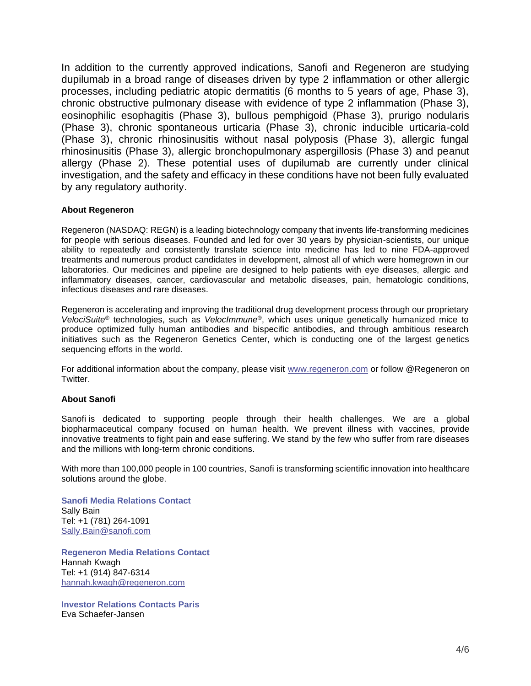In addition to the currently approved indications, Sanofi and Regeneron are studying dupilumab in a broad range of diseases driven by type 2 inflammation or other allergic processes, including pediatric atopic dermatitis (6 months to 5 years of age, Phase 3), chronic obstructive pulmonary disease with evidence of type 2 inflammation (Phase 3), eosinophilic esophagitis (Phase 3), bullous pemphigoid (Phase 3), prurigo nodularis (Phase 3), chronic spontaneous urticaria (Phase 3), chronic inducible urticaria-cold (Phase 3), chronic rhinosinusitis without nasal polyposis (Phase 3), allergic fungal rhinosinusitis (Phase 3), allergic bronchopulmonary aspergillosis (Phase 3) and peanut allergy (Phase 2). These potential uses of dupilumab are currently under clinical investigation, and the safety and efficacy in these conditions have not been fully evaluated by any regulatory authority.

### **About Regeneron**

Regeneron (NASDAQ: REGN) is a leading biotechnology company that invents life-transforming medicines for people with serious diseases. Founded and led for over 30 years by physician-scientists, our unique ability to repeatedly and consistently translate science into medicine has led to nine FDA-approved treatments and numerous product candidates in development, almost all of which were homegrown in our laboratories. Our medicines and pipeline are designed to help patients with eye diseases, allergic and inflammatory diseases, cancer, cardiovascular and metabolic diseases, pain, hematologic conditions, infectious diseases and rare diseases.

Regeneron is accelerating and improving the traditional drug development process through our proprietary *VelociSuite®* technologies, such as *VelocImmune®*, which uses unique genetically humanized mice to produce optimized fully human antibodies and bispecific antibodies, and through ambitious research initiatives such as the Regeneron Genetics Center, which is conducting one of the largest genetics sequencing efforts in the world.

For additional information about the company, please visit [www.regeneron.com](http://www.regeneron.com/) or follow @Regeneron on **Twitter** 

#### **About Sanofi**

Sanofi is dedicated to supporting people through their health challenges. We are a global biopharmaceutical company focused on human health. We prevent illness with vaccines, provide innovative treatments to fight pain and ease suffering. We stand by the few who suffer from rare diseases and the millions with long-term chronic conditions.

With more than 100,000 people in 100 countries, Sanofi is transforming scientific innovation into healthcare solutions around the globe.

**Sanofi Media Relations Contact** Sally Bain Tel: +1 (781) 264-1091 Sally.Bain@sanofi.com

**Regeneron Media Relations Contact** Hannah Kwagh Tel: +1 (914) 847-6314 [hannah.kwagh@regeneron.com](mailto:sharon.chen@regeneron.com)

**Investor Relations Contacts Paris** Eva Schaefer-Jansen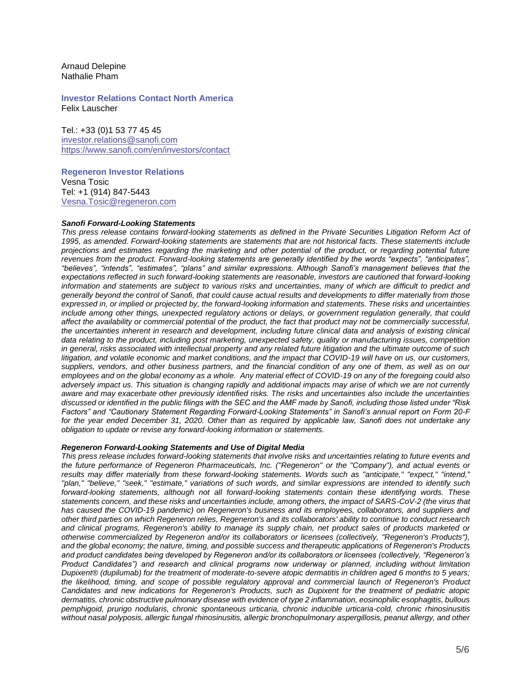Arnaud Delepine Nathalie Pham

**Investor Relations Contact North America** Felix Lauscher

Tel.: +33 (0)1 53 77 45 45 [investor.relations@sanofi.com](mailto:investor.relations@sanofi.com) <https://www.sanofi.com/en/investors/contact>

**Regeneron Investor Relations** Vesna Tosic Tel: +1 (914) 847-5443 [Vesna.Tosic@regeneron.com](mailto:Vesna.Tosic@regeneron.com)

#### *Sanofi Forward-Looking Statements*

This press release contains forward-looking statements as defined in the Private Securities Litigation Reform Act of *1995, as amended. Forward-looking statements are statements that are not historical facts. These statements include projections and estimates regarding the marketing and other potential of the product, or regarding potential future*  revenues from the product. Forward-looking statements are generally identified by the words "expects", "anticipates", *"believes", "intends", "estimates", "plans" and similar expressions. Although Sanofi's management believes that the expectations reflected in such forward-looking statements are reasonable, investors are cautioned that forward-looking*  information and statements are subject to various risks and uncertainties, many of which are difficult to predict and *generally beyond the control of Sanofi, that could cause actual results and developments to differ materially from those expressed in, or implied or projected by, the forward-looking information and statements. These risks and uncertainties include among other things, unexpected regulatory actions or delays, or government regulation generally, that could affect the availability or commercial potential of the product, the fact that product may not be commercially successful, the uncertainties inherent in research and development, including future clinical data and analysis of existing clinical data relating to the product, including post marketing, unexpected safety, quality or manufacturing issues, competition in general, risks associated with intellectual property and any related future litigation and the ultimate outcome of such litigation, and volatile economic and market conditions, and the impact that COVID-19 will have on us, our customers, suppliers, vendors, and other business partners, and the financial condition of any one of them, as well as on our employees and on the global economy as a whole. Any material effect of COVID-19 on any of the foregoing could also adversely impact us. This situation is changing rapidly and additional impacts may arise of which we are not currently aware and may exacerbate other previously identified risks. The risks and uncertainties also include the uncertainties discussed or identified in the public filings with the SEC and the AMF made by Sanofi, including those listed under "Risk Factors" and "Cautionary Statement Regarding Forward-Looking Statements" in Sanofi's annual report on Form 20-F for the year ended December 31, 2020. Other than as required by applicable law, Sanofi does not undertake any obligation to update or revise any forward-looking information or statements.*

### *Regeneron Forward-Looking Statements and Use of Digital Media*

*This press release includes forward-looking statements that involve risks and uncertainties relating to future events and the future performance of Regeneron Pharmaceuticals, Inc. ("Regeneron" or the "Company"), and actual events or results may differ materially from these forward-looking statements. Words such as "anticipate," "expect," "intend," "plan," "believe," "seek," "estimate," variations of such words, and similar expressions are intended to identify such forward-looking statements, although not all forward-looking statements contain these identifying words. These statements concern, and these risks and uncertainties include, among others, the impact of SARS-CoV-2 (the virus that has caused the COVID-19 pandemic) on Regeneron's business and its employees, collaborators, and suppliers and other third parties on which Regeneron relies, Regeneron's and its collaborators' ability to continue to conduct research and clinical programs, Regeneron's ability to manage its supply chain, net product sales of products marketed or otherwise commercialized by Regeneron and/or its collaborators or licensees (collectively, "Regeneron's Products"), and the global economy; the nature, timing, and possible success and therapeutic applications of Regeneron's Products and product candidates being developed by Regeneron and/or its collaborators or licensees (collectively, "Regeneron's Product Candidates") and research and clinical programs now underway or planned, including without limitation Dupixent® (dupilumab) for the treatment of moderate-to-severe atopic dermatitis in children aged 6 months to 5 years;*  the likelihood, timing, and scope of possible regulatory approval and commercial launch of Regeneron's Product *Candidates and new indications for Regeneron's Products, such as Dupixent for the treatment of pediatric atopic dermatitis, chronic obstructive pulmonary disease with evidence of type 2 inflammation, eosinophilic esophagitis, bullous pemphigoid, prurigo nodularis, chronic spontaneous urticaria, chronic inducible urticaria-cold, chronic rhinosinusitis without nasal polyposis, allergic fungal rhinosinusitis, allergic bronchopulmonary aspergillosis, peanut allergy, and other*